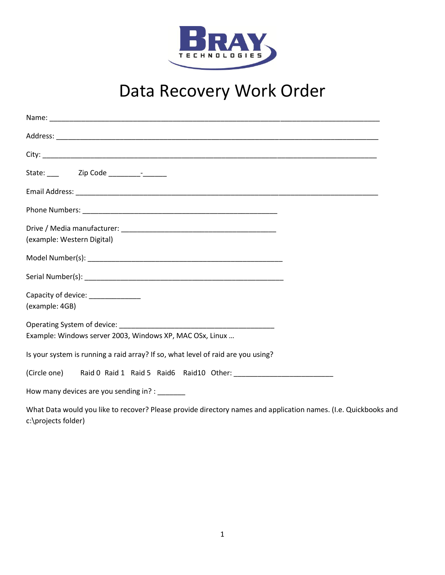

## Data Recovery Work Order

| (example: Western Digital)                                                       |  |
|----------------------------------------------------------------------------------|--|
|                                                                                  |  |
|                                                                                  |  |
| Capacity of device: _______________                                              |  |
| (example: 4GB)                                                                   |  |
|                                                                                  |  |
| Example: Windows server 2003, Windows XP, MAC OSx, Linux                         |  |
| Is your system is running a raid array? If so, what level of raid are you using? |  |
| (Circle one) Raid 0 Raid 1 Raid 5 Raid 6 Raid 10 Other:                          |  |
| How many devices are you sending in? :                                           |  |
|                                                                                  |  |

What Data would you like to recover? Please provide directory names and application names. (I.e. Quickbooks and c:\projects folder)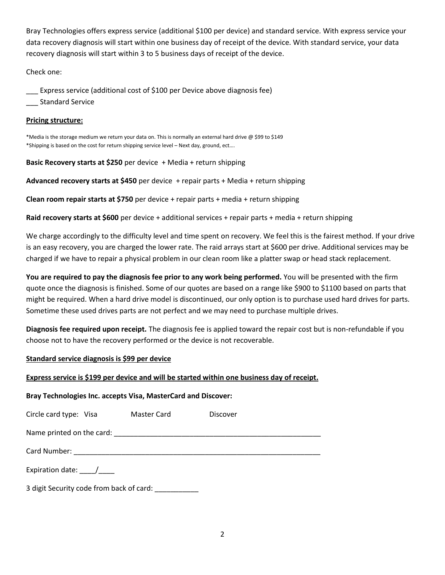Bray Technologies offers express service (additional \$100 per device) and standard service. With express service your data recovery diagnosis will start within one business day of receipt of the device. With standard service, your data recovery diagnosis will start within 3 to 5 business days of receipt of the device.

Check one:

\_\_\_ Express service (additional cost of \$100 per Device above diagnosis fee)

\_\_\_ Standard Service

## **Pricing structure:**

\*Media is the storage medium we return your data on. This is normally an external hard drive @ \$99 to \$149 \*Shipping is based on the cost for return shipping service level – Next day, ground, ect….

**Basic Recovery starts at \$250** per device + Media + return shipping

**Advanced recovery starts at \$450** per device + repair parts + Media + return shipping

**Clean room repair starts at \$750** per device + repair parts + media + return shipping

**Raid recovery starts at \$600** per device + additional services + repair parts + media + return shipping

We charge accordingly to the difficulty level and time spent on recovery. We feel this is the fairest method. If your drive is an easy recovery, you are charged the lower rate. The raid arrays start at \$600 per drive. Additional services may be charged if we have to repair a physical problem in our clean room like a platter swap or head stack replacement.

**You are required to pay the diagnosis fee prior to any work being performed.** You will be presented with the firm quote once the diagnosis is finished. Some of our quotes are based on a range like \$900 to \$1100 based on parts that might be required. When a hard drive model is discontinued, our only option is to purchase used hard drives for parts. Sometime these used drives parts are not perfect and we may need to purchase multiple drives.

**Diagnosis fee required upon receipt.** The diagnosis fee is applied toward the repair cost but is non-refundable if you choose not to have the recovery performed or the device is not recoverable.

## **Standard service diagnosis is \$99 per device**

## **Express service is \$199 per device and will be started within one business day of receipt.**

## **Bray Technologies Inc. accepts Visa, MasterCard and Discover:**

| Circle card type: Visa                   | Master Card | Discover |  |  |
|------------------------------------------|-------------|----------|--|--|
|                                          |             |          |  |  |
|                                          |             |          |  |  |
| Expiration date: /                       |             |          |  |  |
| 3 digit Security code from back of card: |             |          |  |  |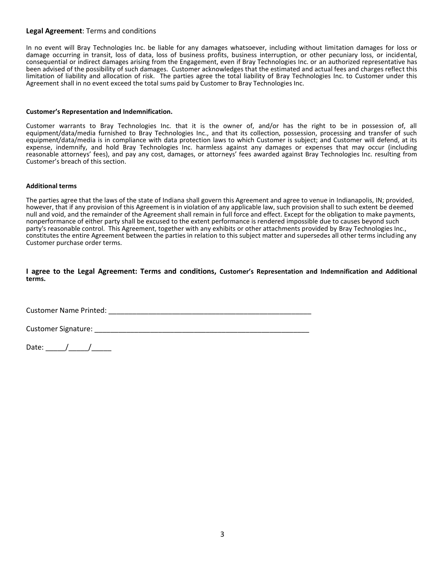### **Legal Agreement**: Terms and conditions

In no event will Bray Technologies Inc. be liable for any damages whatsoever, including without limitation damages for loss or damage occurring in transit, loss of data, loss of business profits, business interruption, or other pecuniary loss, or incidental, consequential or indirect damages arising from the Engagement, even if Bray Technologies Inc. or an authorized representative has been advised of the possibility of such damages. Customer acknowledges that the estimated and actual fees and charges reflect this limitation of liability and allocation of risk. The parties agree the total liability of Bray Technologies Inc. to Customer under this Agreement shall in no event exceed the total sums paid by Customer to Bray Technologies Inc.

#### **Customer's Representation and Indemnification.**

Customer warrants to Bray Technologies Inc. that it is the owner of, and/or has the right to be in possession of, all equipment/data/media furnished to Bray Technologies Inc., and that its collection, possession, processing and transfer of such equipment/data/media is in compliance with data protection laws to which Customer is subject; and Customer will defend, at its expense, indemnify, and hold Bray Technologies Inc. harmless against any damages or expenses that may occur (including reasonable attorneys' fees), and pay any cost, damages, or attorneys' fees awarded against Bray Technologies Inc. resulting from Customer's breach of this section.

#### **Additional terms**

The parties agree that the laws of the state of Indiana shall govern this Agreement and agree to venue in Indianapolis, IN; provided, however, that if any provision of this Agreement is in violation of any applicable law, such provision shall to such extent be deemed null and void, and the remainder of the Agreement shall remain in full force and effect. Except for the obligation to make payments, nonperformance of either party shall be excused to the extent performance is rendered impossible due to causes beyond such party's reasonable control. This Agreement, together with any exhibits or other attachments provided by Bray Technologies Inc., constitutes the entire Agreement between the parties in relation to this subject matter and supersedes all other terms including any Customer purchase order terms.

#### **I agree to the Legal Agreement: Terms and conditions, Customer's Representation and Indemnification and Additional terms.**

Customer Name Printed: \_\_\_\_\_\_\_\_\_\_\_\_\_\_\_\_\_\_\_\_\_\_\_\_\_\_\_\_\_\_\_\_\_\_\_\_\_\_\_\_\_\_\_\_\_\_\_\_\_\_\_

Customer Signature: \_\_\_\_\_\_\_\_\_\_\_\_\_\_\_\_\_\_\_\_\_\_\_\_\_\_\_\_\_\_\_\_\_\_\_\_\_\_\_\_\_\_\_\_\_\_\_\_\_\_\_\_\_\_

Date:  $\frac{1}{\sqrt{2\pi}}$